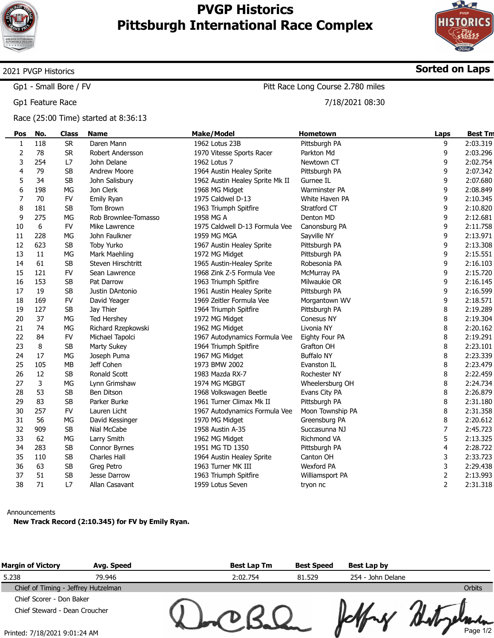



Sorted on Laps

## 2021 PVGP Historics

Gp1 - Small Bore / FV

Gp1 Feature Race

Race (25:00 Time) started at 8:36:13

Pitt Race Long Course 2.780 miles

7/18/2021 08:30

| Pos          | No. | <b>Class</b> | <b>Name</b>          | <b>Make/Model</b>               | Hometown             | Laps           | <b>Best Tm</b> |
|--------------|-----|--------------|----------------------|---------------------------------|----------------------|----------------|----------------|
| $\mathbf{1}$ | 118 | <b>SR</b>    | Daren Mann           | 1962 Lotus 23B                  | Pittsburgh PA        | 9              | 2:03.319       |
| 2            | 78  | <b>SR</b>    | Robert Andersson     | 1970 Vitesse Sports Racer       | Parkton Md           | 9              | 2:03.296       |
| 3            | 254 | L7           | John Delane          | 1962 Lotus 7                    | Newtown CT           | 9              | 2:02.754       |
| 4            | 79  | <b>SB</b>    | <b>Andrew Moore</b>  | 1964 Austin Healey Sprite       | Pittsburgh PA        | 9              | 2:07.342       |
| 5            | 34  | SB           | John Salisbury       | 1962 Austin Healey Sprite Mk II | Gurnee IL            | 9              | 2:07.680       |
| 6            | 198 | MG           | Jon Clerk            | 1968 MG Midget                  | <b>Warminster PA</b> | 9              | 2:08.849       |
| 7            | 70  | <b>FV</b>    | Emily Ryan           | 1975 Caldwel D-13               | White Haven PA       | 9              | 2:10.345       |
| 8            | 181 | <b>SB</b>    | Tom Brown            | 1963 Triumph Spitfire           | Stratford CT         | 9              | 2:10.820       |
| 9            | 275 | MG           | Rob Brownlee-Tomasso | 1958 MG A                       | Denton MD            | 9              | 2:12.681       |
| 10           | 6   | FV           | Mike Lawrence        | 1975 Caldwell D-13 Formula Vee  | Canonsburg PA        | 9              | 2:11.758       |
| 11           | 228 | MG           | John Faulkner        | 1959 MG MGA                     | Sayville NY          | 9              | 2:13.971       |
| 12           | 623 | <b>SB</b>    | Toby Yurko           | 1967 Austin Healey Sprite       | Pittsburgh PA        | 9              | 2:13.308       |
| 13           | 11  | MG           | Mark Maehling        | 1972 MG Midget                  | Pittsburgh PA        | 9              | 2:15.551       |
| 14           | 61  | <b>SB</b>    | Steven Hirschtritt   | 1965 Austin-Healey Sprite       | Robesonia PA         | 9              | 2:16.103       |
| 15           | 121 | FV           | Sean Lawrence        | 1968 Zink Z-5 Formula Vee       | McMurray PA          | 9              | 2:15.720       |
| 16           | 153 | <b>SB</b>    | Pat Darrow           | 1963 Triumph Spitfire           | Milwaukie OR         | 9              | 2:16.145       |
| 17           | 19  | <b>SB</b>    | Justin DAntonio      | 1961 Austin Healey Sprite       | Pittsburgh PA        | 9              | 2:16.599       |
| 18           | 169 | <b>FV</b>    | David Yeager         | 1969 Zeitler Formula Vee        | Morgantown WV        | 9              | 2:18.571       |
| 19           | 127 | <b>SB</b>    | Jay Thier            | 1964 Triumph Spitfire           | Pittsburgh PA        | 8              | 2:19.289       |
| 20           | 37  | MG           | <b>Ted Hershey</b>   | 1972 MG Midget                  | Conesus NY           | 8              | 2:19.304       |
| 21           | 74  | МG           | Richard Rzepkowski   | 1962 MG Midget                  | Livonia NY           | 8              | 2:20.162       |
| 22           | 84  | <b>FV</b>    | Michael Tapolci      | 1967 Autodynamics Formula Vee   | Eighty Four PA       | 8              | 2:19.291       |
| 23           | 8   | <b>SB</b>    | Marty Sukey          | 1964 Triumph Spitfire           | Grafton OH           | 8              | 2:23.101       |
| 24           | 17  | MG           | Joseph Puma          | 1967 MG Midget                  | <b>Buffalo NY</b>    | 8              | 2:23.339       |
| 25           | 105 | MB           | Jeff Cohen           | 1973 BMW 2002                   | Evanston IL          | 8              | 2:23.479       |
| 26           | 12  | <b>SB</b>    | Ronald Scott         | 1983 Mazda RX-7                 | <b>Rochester NY</b>  | 8              | 2:22.459       |
| 27           | 3   | MG           | Lynn Grimshaw        | 1974 MG MGBGT                   | Wheelersburg OH      | 8              | 2:24.734       |
| 28           | 53  | <b>SB</b>    | Ben Ditson           | 1968 Volkswagen Beetle          | Evans City PA        | 8              | 2:26.879       |
| 29           | 83  | <b>SB</b>    | Parker Burke         | 1961 Turner Climax Mk II        | Pittsburgh PA        | 8              | 2:31.180       |
| 30           | 257 | <b>FV</b>    | Lauren Licht         | 1967 Autodynamics Formula Vee   | Moon Township PA     | 8              | 2:31.358       |
| 31           | 56  | МG           | David Kessinger      | 1970 MG Midget                  | Greensburg PA        | 8              | 2:20.612       |
| 32           | 909 | <b>SB</b>    | Nial McCabe          | 1958 Austin A-35                | Succasunna NJ        | 7              | 2:45.723       |
| 33           | 62  | MG           | Larry Smith          | 1962 MG Midget                  | Richmond VA          | 5              | 2:13.325       |
| 34           | 283 | SB           | Connor Byrnes        | 1951 MG TD 1350                 | Pittsburgh PA        | 4              | 2:28.722       |
| 35           | 110 | <b>SB</b>    | <b>Charles Hall</b>  | 1964 Austin Healey Sprite       | Canton OH            | 3              | 2:33.723       |
| 36           | 63  | <b>SB</b>    | Greg Petro           | 1963 Turner MK III              | <b>Wexford PA</b>    | 3              | 2:29.438       |
| 37           | 51  | <b>SB</b>    | Jesse Darrow         | 1963 Triumph Spitfire           | Williamsport PA      | 2              | 2:13.993       |
| 38           | 71  | L7           | Allan Casavant       | 1959 Lotus Seven                | tryon nc             | $\overline{2}$ | 2:31.318       |

## Announcements

New Track Record (2:10.345) for FV by Emily Ryan.

| <b>Margin of Victory</b>            | Avg. Speed | <b>Best Lap Tm</b> | <b>Best Speed</b> | Best Lap by       |          |
|-------------------------------------|------------|--------------------|-------------------|-------------------|----------|
| 5.238                               | 79.946     | 2:02.754           | 81.529            | 254 - John Delane |          |
| Chief of Timing - Jeffrey Hutzelman |            |                    |                   |                   | Orbits   |
| Chief Scorer - Don Baker            |            |                    |                   |                   |          |
| Chief Steward - Dean Croucher       |            |                    |                   |                   |          |
| Printed: 7/18/2021 9:01:24 AM       |            |                    |                   |                   | Page 1/2 |